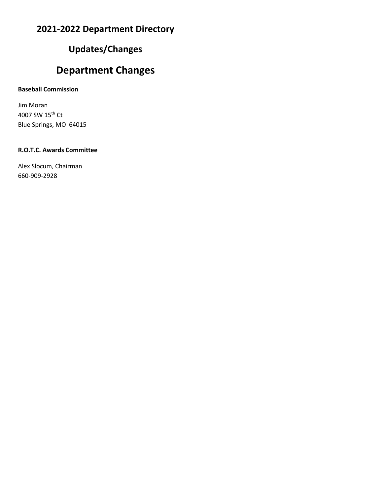### **Updates/Changes**

### **Department Changes**

#### **Baseball Commission**

Jim Moran 4007 SW 15th Ct Blue Springs, MO 64015

#### **R.O.T.C. Awards Committee**

Alex Slocum, Chairman 660-909-2928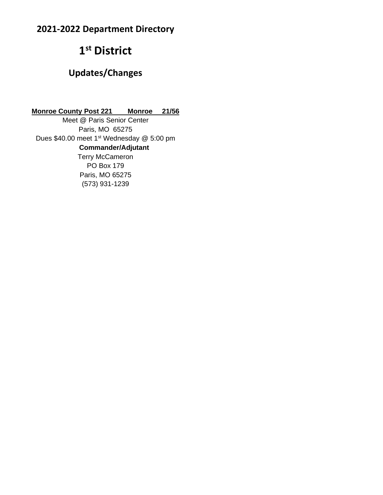# **1 st District**

### **Updates/Changes**

**Monroe County Post 221 Monroe 21/56**

Meet @ Paris Senior Center Paris, MO 65275 Dues \$40.00 meet 1<sup>st</sup> Wednesday @ 5:00 pm  **Commander/Adjutant** Terry McCameron PO Box 179 Paris, MO 65275 (573) 931-1239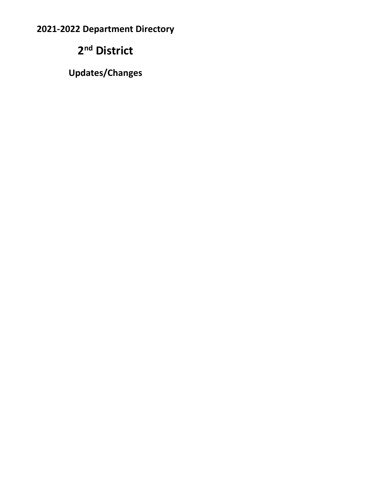# **2 nd District**

**Updates/Changes**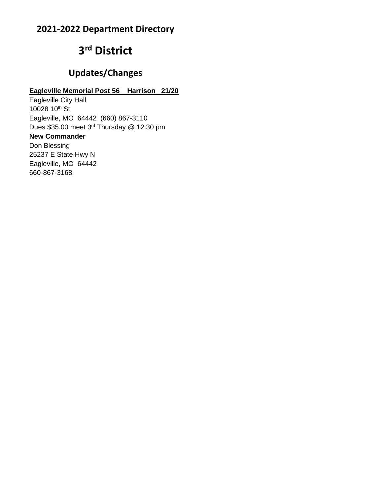# **3 rd District**

### **Updates/Changes**

#### **Eagleville Memorial Post 56 Harrison 21/20**

Eagleville City Hall 10028 10<sup>th</sup> St Eagleville, MO 64442 (660) 867-3110 Dues \$35.00 meet 3rd Thursday @ 12:30 pm **New Commander** Don Blessing 25237 E State Hwy N Eagleville, MO 64442 660-867-3168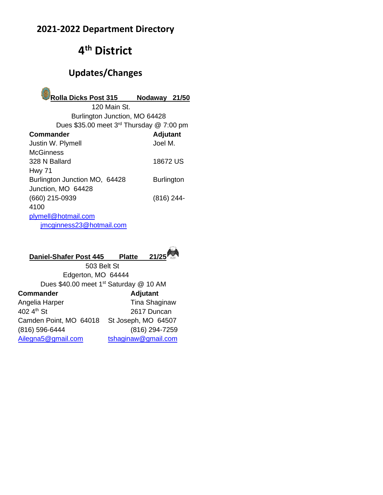# **4 th District**

## **Updates/Changes**



 120 Main St. Burlington Junction, MO 64428 Dues \$35.00 meet 3<sup>rd</sup> Thursday @ 7:00 pm

| Commander                     | <b>Adjutant</b>   |
|-------------------------------|-------------------|
| Justin W. Plymell             | Joel M.           |
| McGinness                     |                   |
| 328 N Ballard                 | 18672 US          |
| <b>Hwy 71</b>                 |                   |
| Burlington Junction MO, 64428 | <b>Burlington</b> |
| Junction, MO 64428            |                   |
| (660) 215-0939                | $(816)$ 244-      |
| 4100                          |                   |
| plymell@hotmail.com           |                   |
| jmcginness23@hotmail.com      |                   |
|                               |                   |

#### **Daniel-Shafer Post 445 Platte 21/25**



503 Belt St Edgerton, MO 64444 Dues \$40.00 meet 1<sup>st</sup> Saturday @ 10 AM

| <b>Commander</b>       | Adjutant             |
|------------------------|----------------------|
| Angelia Harper         | <b>Tina Shaginaw</b> |
| 402 4th St             | 2617 Duncan          |
| Camden Point, MO 64018 | St Joseph, MO 64507  |
| (816) 596-6444         | (816) 294-7259       |
| Ailegna5@gmail.com     | tshaqinaw@qmail.com  |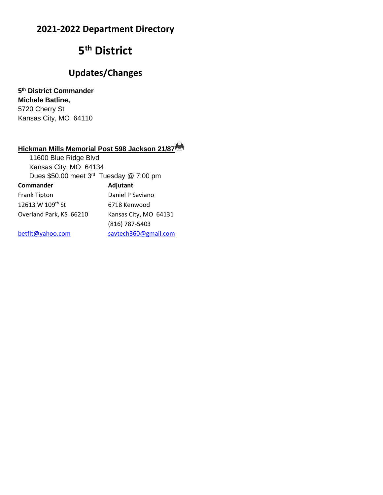# **5 th District**

### **Updates/Changes**

**5 th District Commander Michele Batline,**  5720 Cherry St Kansas City, MO 64110

### **Hickman Mills Memorial Post 598 Jackson 21/87**

| 11600 Blue Ridge Blvd                               |                                |
|-----------------------------------------------------|--------------------------------|
| Kansas City, MO 64134                               |                                |
| Dues \$50.00 meet 3 <sup>rd</sup> Tuesday @ 7:00 pm |                                |
| Commander                                           | Adjutant                       |
| Frank Tipton                                        | Daniel P Saviano               |
| 12613 W 109th St                                    | 6718 Kenwood                   |
| Overland Park, KS 66210                             | Kansas City, MO 64131          |
|                                                     | (816) 787-5403                 |
| لمقام والمتمامات واللقاميا                          | ومرمم المومس @ 200 وام ويليزوه |

[betflt@yahoo.com](mailto:betflt@yahoo.com) [savtech360@gmail.com](mailto:savtech360@gmail.com)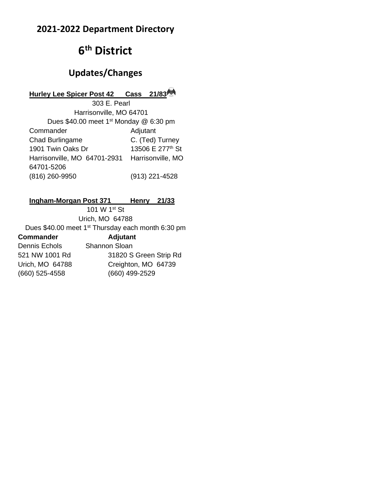# **6 th District**

### **Updates/Changes**

#### **Hurley Lee Spicer Post 42 Cass 21/83**

303 E. Pearl Harrisonville, MO 64701 Dues \$40.00 meet 1<sup>st</sup> Monday @ 6:30 pm Commander Adjutant Chad Burlingame C. (Ted) Turney 1901 Twin Oaks Dr 13506 E 277<sup>th</sup> St Harrisonville, MO 64701-2931 Harrisonville, MO 64701-5206 (816) 260-9950 (913) 221-4528

#### **Ingham-Morgan Post 371 Henry 21/33**

101 W 1st St Urich, MO 64788 Dues \$40.00 meet 1<sup>st</sup> Thursday each month 6:30 pm **Commander Adjutant** Dennis Echols Shannon Sloan 521 NW 1001 Rd 31820 S Green Strip Rd Urich, MO 64788 Creighton, MO 64739 (660) 525-4558 (660) 499-2529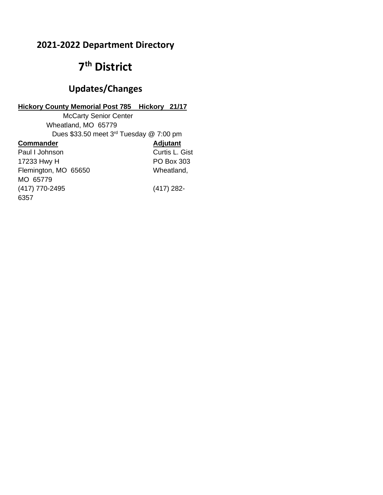# **7 th District**

### **Updates/Changes**

#### **Hickory County Memorial Post 785 Hickory 21/17**

McCarty Senior Center Wheatland, MO 65779 Dues \$33.50 meet 3<sup>rd</sup> Tuesday @ 7:00 pm **Commander Adjutant** Paul I Johnson Curtis L. Gist 17233 Hwy H PO Box 303 Flemington, MO 65650 Wheatland, MO 65779 (417) 770-2495 (417) 282- 6357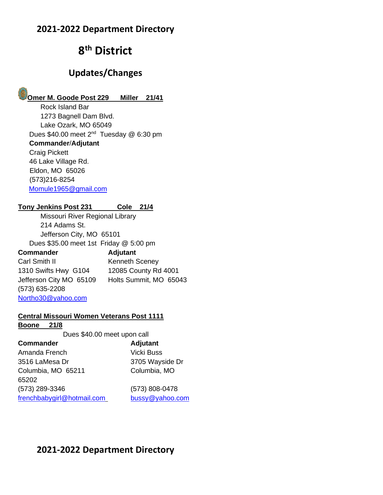# **8 th District**

### **Updates/Changes**

# **Omer M. Goode Post 229 Miller 21/41**

Rock Island Bar 1273 Bagnell Dam Blvd. Lake Ozark, MO 65049 Dues \$40.00 meet 2<sup>nd</sup> Tuesday @ 6:30 pm **Commander**/**Adjutant** Craig Pickett 46 Lake Village Rd. Eldon, MO 65026 (573)216-8254 [Momule1965@gmail.com](mailto:Momule1965@gmail.com)

#### **Tony Jenkins Post 231 Cole 21/4**

Missouri River Regional Library 214 Adams St. Jefferson City, MO 65101 Dues \$35.00 meet 1st Friday @ 5:00 pm **Commander Adjutant**

Carl Smith II Kenneth Sceney 1310 Swifts Hwy G104 12085 County Rd 4001 Jefferson City MO 65109 Holts Summit, MO 65043 (573) 635-2208 [Northo30@yahoo.com](mailto:Northo30@yahoo.com)

#### **Central Missouri Women Veterans Post 1111**

#### **Boone 21/8**

Dues \$40.00 meet upon call

| <b>Commander</b>           | Adjutant          |
|----------------------------|-------------------|
| Amanda French              | <b>Vicki Buss</b> |
| 3516 LaMesa Dr             | 3705 Wayside Dr   |
| Columbia, MO 65211         | Columbia, MO      |
| 65202                      |                   |
| (573) 289-3346             | (573) 808-0478    |
| frenchbabygirl@hotmail.com | bussy@yahoo.com   |

### **2021-2022 Department Directory**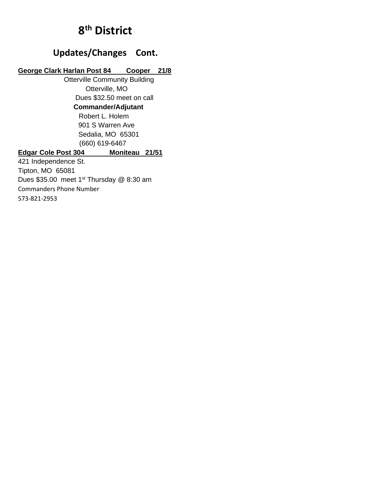# **8 th District**

### **Updates/Changes Cont.**

#### **George Clark Harlan Post 84 Cooper 21/8**

 Otterville Community Building Otterville, MO Dues \$32.50 meet on call  **Commander/Adjutant** Robert L. Holem 901 S Warren Ave Sedalia, MO 65301 (660) 619-6467

#### **Edgar Cole Post 304 Moniteau 21/51**

421 Independence St. Tipton, MO 65081 Dues \$35.00 meet 1<sup>st</sup> Thursday @ 8:30 am Commanders Phone Number 573-821-2953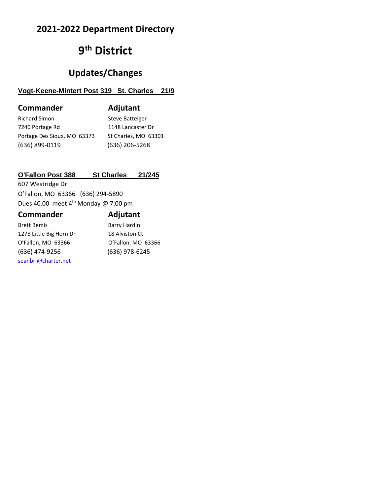# **9 th District**

### **Updates/Changes**

#### **Vogt-Keene-Mintert Post 319 St. Charles 21/9**

| <b>Commander</b>            | Adjutant             |
|-----------------------------|----------------------|
| <b>Richard Simon</b>        | Steve Battelger      |
| 7240 Portage Rd             | 1148 Lancaster Dr    |
| Portage Des Sioux, MO 63373 | St Charles, MO 63301 |
| (636) 899-0119              | (636) 206-5268       |

#### **O'Fallon Post 388 St Charles 21/245**

607 Westridge Dr O'Fallon, MO 63366 (636) 294-5890 Dues 40.00 meet  $4^{\text{th}}$  Monday @ 7:00 pm

| <b>Commander</b>        | Adjutant            |
|-------------------------|---------------------|
| <b>Brett Bemis</b>      | <b>Barry Hardin</b> |
| 1278 Little Big Horn Dr | 18 Alviston Ct      |
| O'Fallon, MO 63366      | O'Fallon, MO 63366  |
| (636) 474-9256          | (636) 978-6245      |
| seanbri@charter.net     |                     |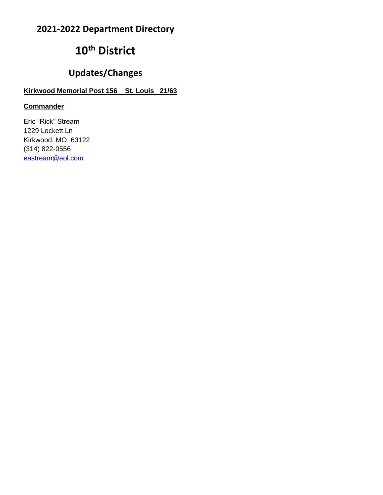# **10th District**

### **Updates/Changes**

#### **Kirkwood Memorial Post 156 St. Louis 21/63**

#### **Commander**

Eric "Rick" Stream 1229 Lockett Ln Kirkwood, MO 63122 (314) 822-0556 [eastream@aol.com](mailto:eastream@aol.com)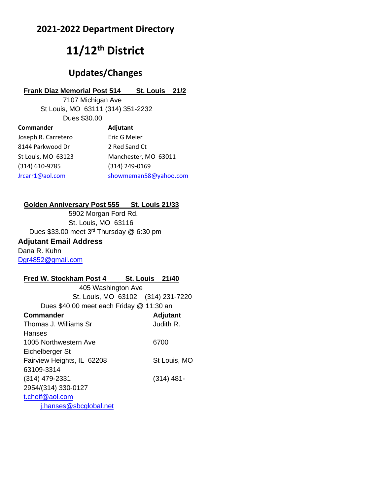# **11/12th District**

### **Updates/Changes**

#### **Frank Diaz Memorial Post 514 St. Louis 21/2**

7107 Michigan Ave St Louis, MO 63111 (314) 351-2232 Dues \$30.00

| Commander           | Adjutant              |
|---------------------|-----------------------|
| Joseph R. Carretero | Eric G Meier          |
| 8144 Parkwood Dr    | 2 Red Sand Ct         |
| St Louis, MO 63123  | Manchester, MO 63011  |
| (314) 610-9785      | (314) 249-0169        |
| Jrcarr1@aol.com     | showmeman58@yahoo.com |

#### **Golden Anniversary Post 555 St. Louis 21/33**

5902 Morgan Ford Rd. St. Louis, MO 63116 Dues \$33.00 meet 3<sup>rd</sup> Thursday @ 6:30 pm **Adjutant Email Address** Dana R. Kuhn [Dgr4852@gmail.com](mailto:Dgr4852@gmail.com)

#### **Fred W. Stockham Post 4 St. Louis 21/40**

 405 Washington Ave St. Louis, MO 63102 (314) 231-7220 Dues \$40.00 meet each Friday @ 11:30 an **Commander Adjutant** Thomas J. Williams Sr **Judith R. Hanses** 1005 Northwestern Ave 6700 Eichelberger St Fairview Heights, IL 62208 St Louis, MO 63109-3314 (314) 479-2331 (314) 481- 2954/(314) 330-0127 [t.cheif@aol.com](mailto:t.cheif@aol.com) [j.hanses@sbcglobal.net](mailto:j.hanses@sbcglobal.net)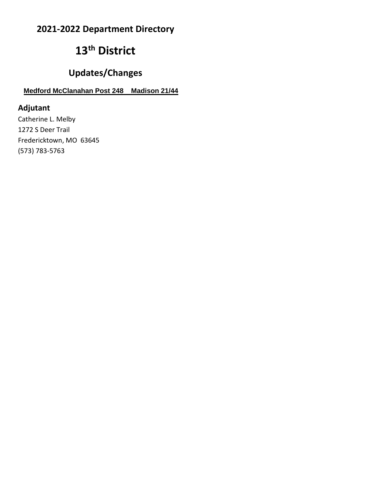# **13th District**

### **Updates/Changes**

### **Medford McClanahan Post 248 Madison 21/44**

### **Adjutant**

Catherine L. Melby 1272 S Deer Trail Fredericktown, MO 63645 (573) 783-5763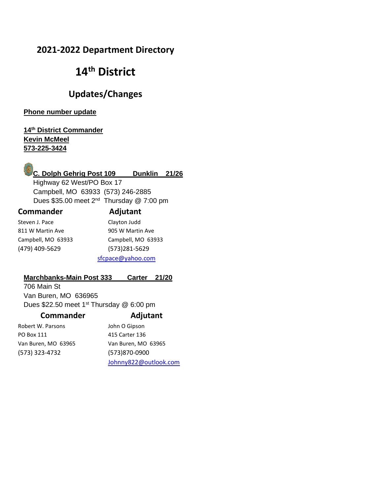# **14th District**

### **Updates/Changes**

**Phone number update**

#### **14th District Commander Kevin McMeel 573-225-3424**



 Highway 62 West/PO Box 17 Campbell, MO 63933 (573) 246-2885 Dues \$35.00 meet  $2^{nd}$  Thursday @ 7:00 pm

#### **Commander Adjutant**

| Steven J. Pace     | Clayton Judd       |
|--------------------|--------------------|
| 811 W Martin Ave   | 905 W Martin Ave   |
| Campbell, MO 63933 | Campbell, MO 63933 |
| (479) 409-5629     | (573)281-5629      |
|                    |                    |

[sfcpace@yahoo.com](mailto:sfcpace@yahoo.com)

#### **Marchbanks-Main Post 333 Carter 21/20**

706 Main St Van Buren, MO 636965 Dues \$22.50 meet  $1<sup>st</sup>$  Thursday @ 6:00 pm

| <b>Commander</b> |  |
|------------------|--|
|------------------|--|

#### **Commander Adjutant**

Robert W. Parsons John O Gipson PO Box 111 415 Carter 136 Van Buren, MO 63965 Van Buren, MO 63965 (573) 323-4732 (573)870-0900

[Johnny822@outlook.com](mailto:Johnny822@outlook.com)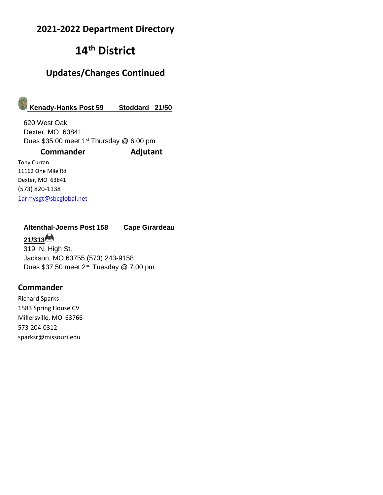# **14th District**

### **Updates/Changes Continued**

# **Kenady-Hanks Post 59 Stoddard 21/50**

620 West Oak Dexter, MO 63841 Dues \$35.00 meet 1<sup>st</sup> Thursday @ 6:00 pm

#### **Commander Adjutant**

Tony Curran 11162 One Mile Rd Dexter, MO 63841 (573) 820-1138 [1armysgt@sbcglobal.net](mailto:1armysgt@sbcglobal.net)

### **Altenthal-Joerns Post 158 Cape Girardeau**

#### **21/313**

319 N. High St. Jackson, MO 63755 (573) 243-9158 Dues \$37.50 meet 2<sup>nd</sup> Tuesday @ 7:00 pm

#### **Commander**

Richard Sparks 1583 Spring House CV Millersville, MO 63766 573-204-0312 sparksr@missouri.edu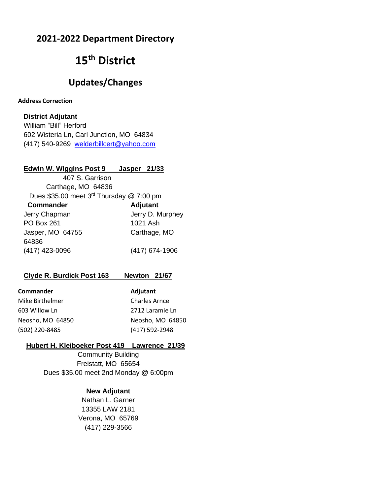## **15th District**

### **Updates/Changes**

#### **Address Correction**

#### **District Adjutant**

William "Bill" Herford 602 Wisteria Ln, Carl Junction, MO 64834 (417) 540-9269 [welderbillcert@yahoo.com](mailto:welderbillcert@yahoo.com)

#### **Edwin W. Wiggins Post 9 Jasper 21/33**

| 407 S. Garrison                                      |                  |
|------------------------------------------------------|------------------|
| Carthage, MO 64836                                   |                  |
| Dues \$35.00 meet 3 <sup>rd</sup> Thursday @ 7:00 pm |                  |
| <b>Commander</b>                                     | <b>Adjutant</b>  |
| Jerry Chapman                                        | Jerry D. Murphey |
| <b>PO Box 261</b>                                    | 1021 Ash         |
| Jasper, MO 64755                                     | Carthage, MO     |
| 64836                                                |                  |
| (417) 423-0096                                       | (417) 674-1906   |

#### **Clyde R. Burdick Post 163 Newton 21/67**

| <b>Commander</b> | Adjutant             |
|------------------|----------------------|
| Mike Birthelmer  | <b>Charles Arnce</b> |
| 603 Willow Ln    | 2712 Laramie Ln      |
| Neosho, MO 64850 | Neosho, MO 648       |
| (502) 220-8485   | (417) 592-2948       |

#### **Hubert H. Kleiboeker Post 419 Lawrence 21/39**

MO 64850

Community Building Freistatt, MO 65654 Dues \$35.00 meet 2nd Monday @ 6:00pm

#### **New Adjutant**

Nathan L. Garner 13355 LAW 2181 Verona, MO 65769 (417) 229-3566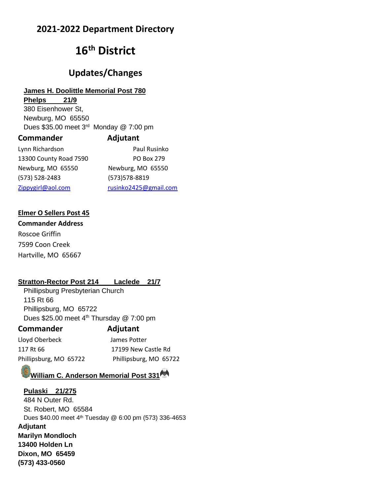# **16th District**

### **Updates/Changes**

#### **James H. Doolittle Memorial Post 780**

**Phelps 21/9** 380 Eisenhower St, Newburg, MO 65550 Dues \$35.00 meet 3<sup>rd</sup> Monday @ 7:00 pm **Commander Adjutant**

| Lynn Richardson        | Paul Rusinko          |
|------------------------|-----------------------|
| 13300 County Road 7590 | PO Box 279            |
| Newburg, MO 65550      | Newburg, MO 65550     |
| (573) 528-2483         | (573) 578-8819        |
| Zippygirl@aol.com      | rusinko2425@gmail.com |

#### **Elmer O Sellers Post 45**

**Commander Address** Roscoe Griffin 7599 Coon Creek Hartville, MO 65667

#### **Stratton-Rector Post 214 Laclede 21/7**

Phillipsburg Presbyterian Church 115 Rt 66 Phillipsburg, MO 65722 Dues \$25.00 meet 4<sup>th</sup> Thursday @ 7:00 pm

#### **Commander Adjutant**

Lloyd Oberbeck James Potter 117 Rt 66 17199 New Castle Rd Phillipsburg, MO 65722 Phillipsburg, MO 65722

#### **William C. Anderson Memorial Post 331**

**Pulaski 21/275** 484 N Outer Rd. St. Robert, MO 65584 Dues \$40.00 meet 4 th Tuesday @ 6:00 pm (573) 336-4653 **Adjutant Marilyn Mondloch 13400 Holden Ln Dixon, MO 65459 (573) 433-0560**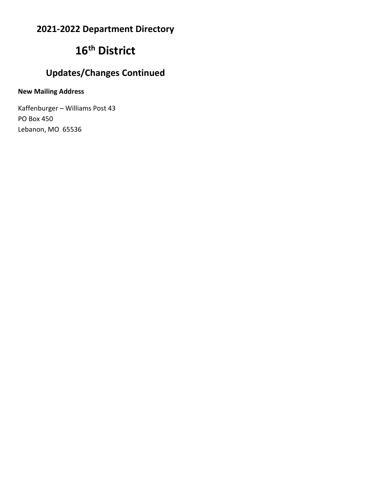# **16th District**

# **Updates/Changes Continued**

#### **New Mailing Address**

Kaffenburger – Williams Post 43 PO Box 450 Lebanon, MO 65536